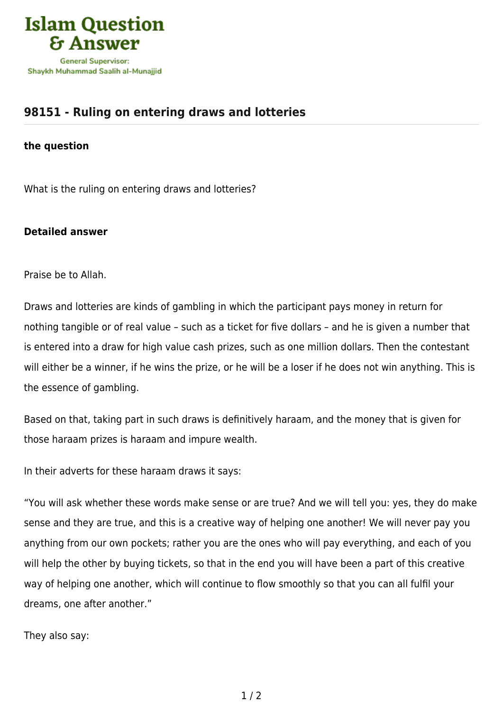

## **[98151 - Ruling on entering draws and lotteries](https://islamqa.com/en/answers/98151/ruling-on-entering-draws-and-lotteries)**

## **the question**

What is the ruling on entering draws and lotteries?

## **Detailed answer**

Praise be to Allah.

Draws and lotteries are kinds of gambling in which the participant pays money in return for nothing tangible or of real value – such as a ticket for five dollars – and he is given a number that is entered into a draw for high value cash prizes, such as one million dollars. Then the contestant will either be a winner, if he wins the prize, or he will be a loser if he does not win anything. This is the essence of gambling.

Based on that, taking part in such draws is definitively haraam, and the money that is given for those haraam prizes is haraam and impure wealth.

In their adverts for these haraam draws it says:

"You will ask whether these words make sense or are true? And we will tell you: yes, they do make sense and they are true, and this is a creative way of helping one another! We will never pay you anything from our own pockets; rather you are the ones who will pay everything, and each of you will help the other by buying tickets, so that in the end you will have been a part of this creative way of helping one another, which will continue to flow smoothly so that you can all fulfil your dreams, one after another."

They also say: